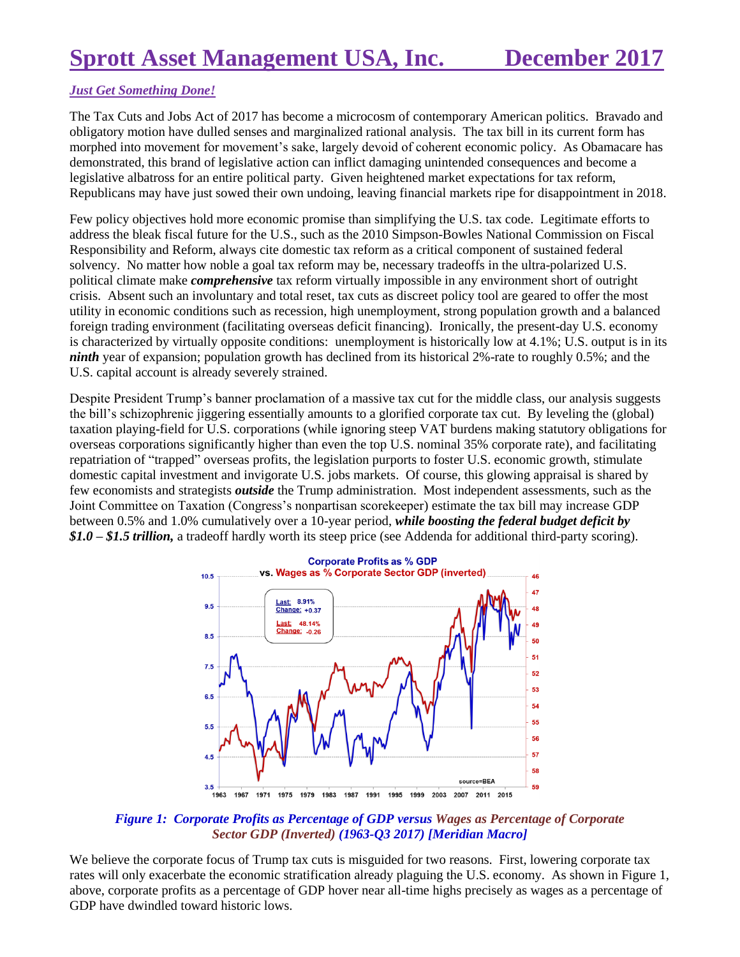## *Just Get Something Done!*

The Tax Cuts and Jobs Act of 2017 has become a microcosm of contemporary American politics. Bravado and obligatory motion have dulled senses and marginalized rational analysis. The tax bill in its current form has morphed into movement for movement's sake, largely devoid of coherent economic policy. As Obamacare has demonstrated, this brand of legislative action can inflict damaging unintended consequences and become a legislative albatross for an entire political party. Given heightened market expectations for tax reform, Republicans may have just sowed their own undoing, leaving financial markets ripe for disappointment in 2018.

Few policy objectives hold more economic promise than simplifying the U.S. tax code. Legitimate efforts to address the bleak fiscal future for the U.S., such as the 2010 Simpson-Bowles National Commission on Fiscal Responsibility and Reform, always cite domestic tax reform as a critical component of sustained federal solvency. No matter how noble a goal tax reform may be, necessary tradeoffs in the ultra-polarized U.S. political climate make *comprehensive* tax reform virtually impossible in any environment short of outright crisis. Absent such an involuntary and total reset, tax cuts as discreet policy tool are geared to offer the most utility in economic conditions such as recession, high unemployment, strong population growth and a balanced foreign trading environment (facilitating overseas deficit financing). Ironically, the present-day U.S. economy is characterized by virtually opposite conditions: unemployment is historically low at 4.1%; U.S. output is in its *ninth* year of expansion; population growth has declined from its historical 2%-rate to roughly 0.5%; and the U.S. capital account is already severely strained.

Despite President Trump's banner proclamation of a massive tax cut for the middle class, our analysis suggests the bill's schizophrenic jiggering essentially amounts to a glorified corporate tax cut. By leveling the (global) taxation playing-field for U.S. corporations (while ignoring steep VAT burdens making statutory obligations for overseas corporations significantly higher than even the top U.S. nominal 35% corporate rate), and facilitating repatriation of "trapped" overseas profits, the legislation purports to foster U.S. economic growth, stimulate domestic capital investment and invigorate U.S. jobs markets. Of course, this glowing appraisal is shared by few economists and strategists *outside* the Trump administration. Most independent assessments, such as the Joint Committee on Taxation (Congress's nonpartisan scorekeeper) estimate the tax bill may increase GDP between 0.5% and 1.0% cumulatively over a 10-year period, *while boosting the federal budget deficit by \$1.0 – \$1.5 trillion,* a tradeoff hardly worth its steep price (see Addenda for additional third-party scoring).



*Figure 1: Corporate Profits as Percentage of GDP versus Wages as Percentage of Corporate Sector GDP (Inverted) (1963-Q3 2017) [Meridian Macro]*

We believe the corporate focus of Trump tax cuts is misguided for two reasons. First, lowering corporate tax rates will only exacerbate the economic stratification already plaguing the U.S. economy. As shown in Figure 1, above, corporate profits as a percentage of GDP hover near all-time highs precisely as wages as a percentage of GDP have dwindled toward historic lows.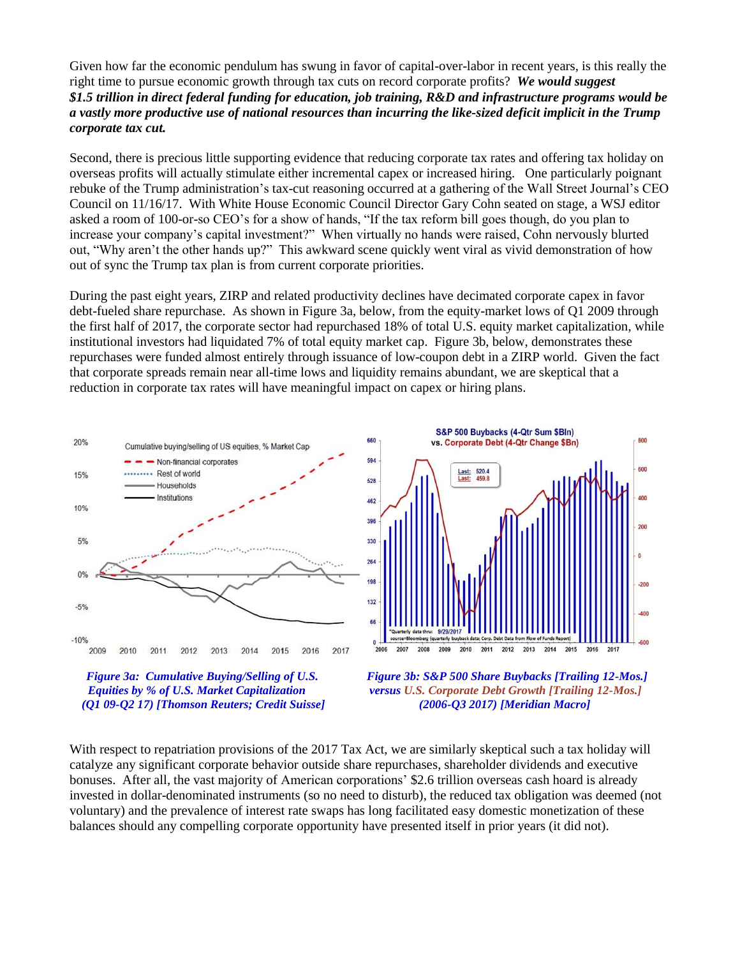Given how far the economic pendulum has swung in favor of capital-over-labor in recent years, is this really the right time to pursue economic growth through tax cuts on record corporate profits? *We would suggest \$1.5 trillion in direct federal funding for education, job training, R&D and infrastructure programs would be a vastly more productive use of national resources than incurring the like-sized deficit implicit in the Trump corporate tax cut.*

Second, there is precious little supporting evidence that reducing corporate tax rates and offering tax holiday on overseas profits will actually stimulate either incremental capex or increased hiring. One particularly poignant rebuke of the Trump administration's tax-cut reasoning occurred at a gathering of the Wall Street Journal's CEO Council on 11/16/17. With White House Economic Council Director Gary Cohn seated on stage, a WSJ editor asked a room of 100-or-so CEO's for a show of hands, "If the tax reform bill goes though, do you plan to increase your company's capital investment?" When virtually no hands were raised, Cohn nervously blurted out, "Why aren't the other hands up?" This awkward scene quickly went viral as vivid demonstration of how out of sync the Trump tax plan is from current corporate priorities.

During the past eight years, ZIRP and related productivity declines have decimated corporate capex in favor debt-fueled share repurchase. As shown in Figure 3a, below, from the equity-market lows of Q1 2009 through the first half of 2017, the corporate sector had repurchased 18% of total U.S. equity market capitalization, while institutional investors had liquidated 7% of total equity market cap. Figure 3b, below, demonstrates these repurchases were funded almost entirely through issuance of low-coupon debt in a ZIRP world. Given the fact that corporate spreads remain near all-time lows and liquidity remains abundant, we are skeptical that a reduction in corporate tax rates will have meaningful impact on capex or hiring plans.







With respect to repatriation provisions of the 2017 Tax Act, we are similarly skeptical such a tax holiday will catalyze any significant corporate behavior outside share repurchases, shareholder dividends and executive bonuses. After all, the vast majority of American corporations' \$2.6 trillion overseas cash hoard is already invested in dollar-denominated instruments (so no need to disturb), the reduced tax obligation was deemed (not voluntary) and the prevalence of interest rate swaps has long facilitated easy domestic monetization of these balances should any compelling corporate opportunity have presented itself in prior years (it did not).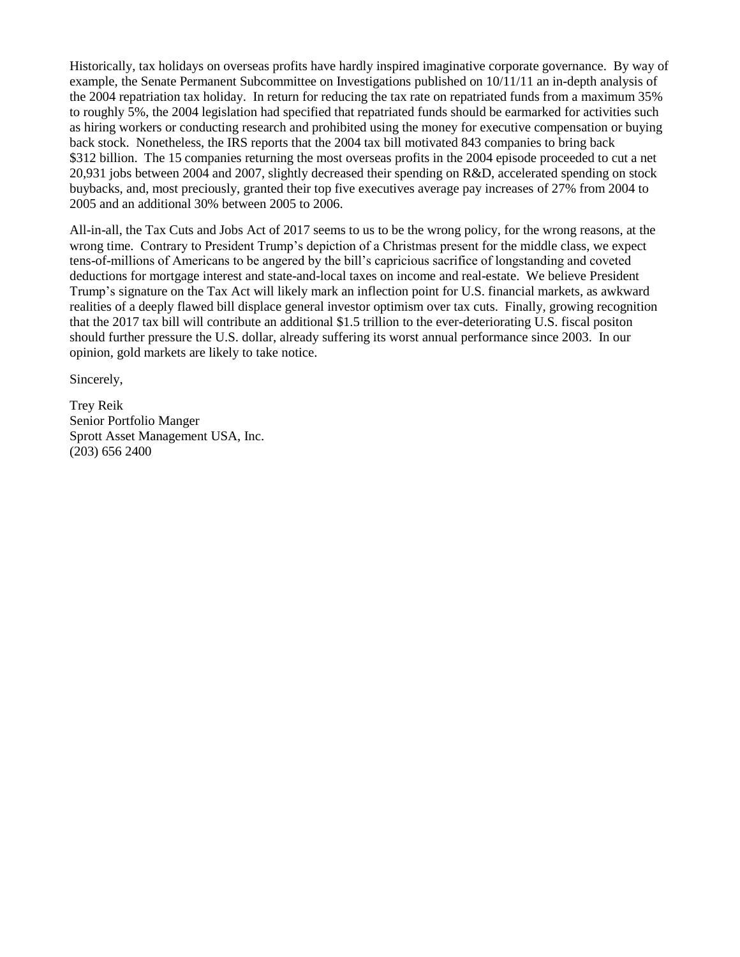Historically, tax holidays on overseas profits have hardly inspired imaginative corporate governance. By way of example, the Senate Permanent Subcommittee on Investigations published on 10/11/11 an in-depth analysis of the 2004 repatriation tax holiday. In return for reducing the tax rate on repatriated funds from a maximum 35% to roughly 5%, the 2004 legislation had specified that repatriated funds should be earmarked for activities such as hiring workers or conducting research and prohibited using the money for executive compensation or buying back stock. Nonetheless, the IRS reports that the 2004 tax bill motivated 843 companies to bring back \$312 billion. The 15 companies returning the most overseas profits in the 2004 episode proceeded to cut a net 20,931 jobs between 2004 and 2007, slightly decreased their spending on R&D, accelerated spending on stock buybacks, and, most preciously, granted their top five executives average pay increases of 27% from 2004 to 2005 and an additional 30% between 2005 to 2006.

All-in-all, the Tax Cuts and Jobs Act of 2017 seems to us to be the wrong policy, for the wrong reasons, at the wrong time. Contrary to President Trump's depiction of a Christmas present for the middle class, we expect tens-of-millions of Americans to be angered by the bill's capricious sacrifice of longstanding and coveted deductions for mortgage interest and state-and-local taxes on income and real-estate. We believe President Trump's signature on the Tax Act will likely mark an inflection point for U.S. financial markets, as awkward realities of a deeply flawed bill displace general investor optimism over tax cuts. Finally, growing recognition that the 2017 tax bill will contribute an additional \$1.5 trillion to the ever-deteriorating U.S. fiscal positon should further pressure the U.S. dollar, already suffering its worst annual performance since 2003. In our opinion, gold markets are likely to take notice.

Sincerely,

Trey Reik Senior Portfolio Manger Sprott Asset Management USA, Inc. (203) 656 2400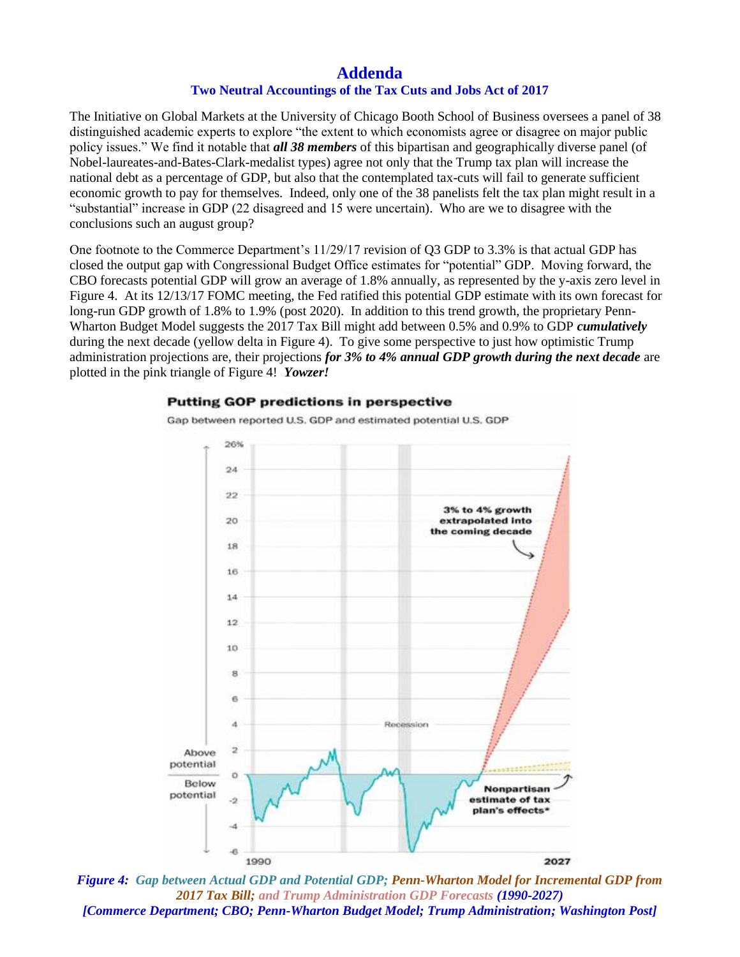## **Addenda Two Neutral Accountings of the Tax Cuts and Jobs Act of 2017**

The Initiative on Global Markets at the University of Chicago Booth School of Business oversees a panel of 38 distinguished academic experts to explore "the extent to which economists agree or disagree on major public policy issues." We find it notable that *all 38 members* of this bipartisan and geographically diverse panel (of Nobel-laureates-and-Bates-Clark-medalist types) agree not only that the Trump tax plan will increase the national debt as a percentage of GDP, but also that the contemplated tax-cuts will fail to generate sufficient economic growth to pay for themselves. Indeed, only one of the 38 panelists felt the tax plan might result in a "substantial" increase in GDP (22 disagreed and 15 were uncertain). Who are we to disagree with the conclusions such an august group?

One footnote to the Commerce Department's 11/29/17 revision of Q3 GDP to 3.3% is that actual GDP has closed the output gap with Congressional Budget Office estimates for "potential" GDP. Moving forward, the CBO forecasts potential GDP will grow an average of 1.8% annually, as represented by the y-axis zero level in Figure 4. At its 12/13/17 FOMC meeting, the Fed ratified this potential GDP estimate with its own forecast for long-run GDP growth of 1.8% to 1.9% (post 2020). In addition to this trend growth, the proprietary Penn-Wharton Budget Model suggests the 2017 Tax Bill might add between 0.5% and 0.9% to GDP *cumulatively* during the next decade (yellow delta in Figure 4). To give some perspective to just how optimistic Trump administration projections are, their projections *for 3% to 4% annual GDP growth during the next decade* are plotted in the pink triangle of Figure 4! *Yowzer!*

## **Putting GOP predictions in perspective**

Gap between reported U.S. GDP and estimated potential U.S. GDP



*Figure 4: Gap between Actual GDP and Potential GDP; Penn-Wharton Model for Incremental GDP from 2017 Tax Bill; and Trump Administration GDP Forecasts (1990-2027) [Commerce Department; CBO; Penn-Wharton Budget Model; Trump Administration; Washington Post]*